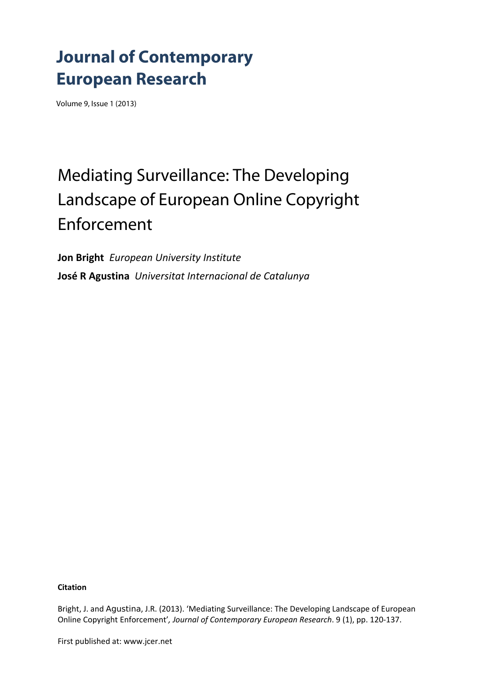## **Journal of Contemporary European Research**

Volume 9, Issue 1 (2013)

# Mediating Surveillance: The Developing Landscape of European Online Copyright Enforcement

**Jon Bright** *European University Institute* **José R Agustina** *Universitat Internacional de Catalunya*

**Citation**

Bright, J. and Agustina, J.R. (2013). 'Mediating Surveillance: The Developing Landscape of European Online Copyright Enforcement'*, Journal of Contemporary European Research*. 9 (1), pp. 120‐137.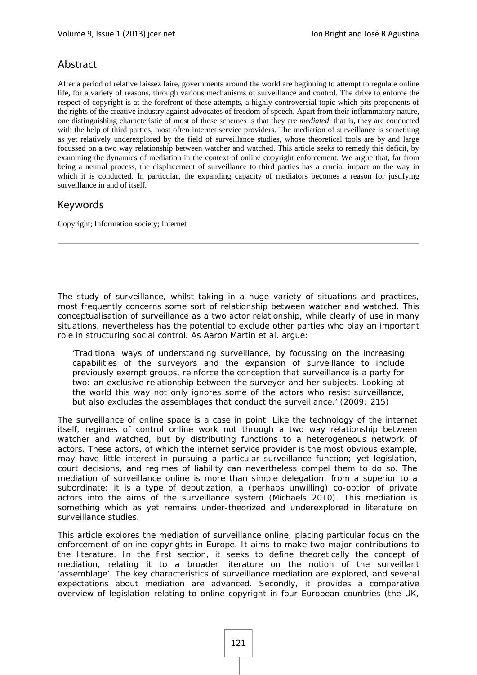## Abstract

After a period of relative laissez faire, governments around the world are beginning to attempt to regulate online life, for a variety of reasons, through various mechanisms of surveillance and control. The drive to enforce the respect of copyright is at the forefront of these attempts, a highly controversial topic which pits proponents of the rights of the creative industry against advocates of freedom of speech. Apart from their inflammatory nature, one distinguishing characteristic of most of these schemes is that they are *mediated*: that is, they are conducted with the help of third parties, most often internet service providers. The mediation of surveillance is something as yet relatively underexplored by the field of surveillance studies, whose theoretical tools are by and large focussed on a two way relationship between watcher and watched. This article seeks to remedy this deficit, by examining the dynamics of mediation in the context of online copyright enforcement. We argue that, far from being a neutral process, the displacement of surveillance to third parties has a crucial impact on the way in which it is conducted. In particular, the expanding capacity of mediators becomes a reason for justifying surveillance in and of itself.

## Keywords

Copyright; Information society; Internet

The study of surveillance, whilst taking in a huge variety of situations and practices, most frequently concerns some sort of relationship between watcher and watched. This conceptualisation of surveillance as a two actor relationship, while clearly of use in many situations, nevertheless has the potential to exclude other parties who play an important role in structuring social control. As Aaron Martin et al. argue:

'Traditional ways of understanding surveillance, by focussing on the increasing capabilities of the surveyors and the expansion of surveillance to include previously exempt groups, reinforce the conception that surveillance is a party for two: an exclusive relationship between the surveyor and her subjects. Looking at the world this way not only ignores some of the actors who resist surveillance, but also excludes the assemblages that conduct the surveillance.' (2009: 215)

The surveillance of online space is a case in point. Like the technology of the internet itself, regimes of control online work not through a two way relationship between watcher and watched, but by distributing functions to a heterogeneous network of actors. These actors, of which the internet service provider is the most obvious example, may have little interest in pursuing a particular surveillance function; yet legislation, court decisions, and regimes of liability can nevertheless compel them to do so. The mediation of surveillance online is more than simple delegation, from a superior to a subordinate: it is a type of *deputization*, a (perhaps unwilling) co-option of private actors into the aims of the surveillance system (Michaels 2010). This mediation is something which as yet remains under-theorized and underexplored in literature on surveillance studies.

This article explores the mediation of surveillance online, placing particular focus on the enforcement of online copyrights in Europe. It aims to make two major contributions to the literature. In the first section, it seeks to define theoretically the concept of mediation, relating it to a broader literature on the notion of the surveillant 'assemblage'. The key characteristics of surveillance mediation are explored, and several expectations about mediation are advanced. Secondly, it provides a comparative overview of legislation relating to online copyright in four European countries (the UK,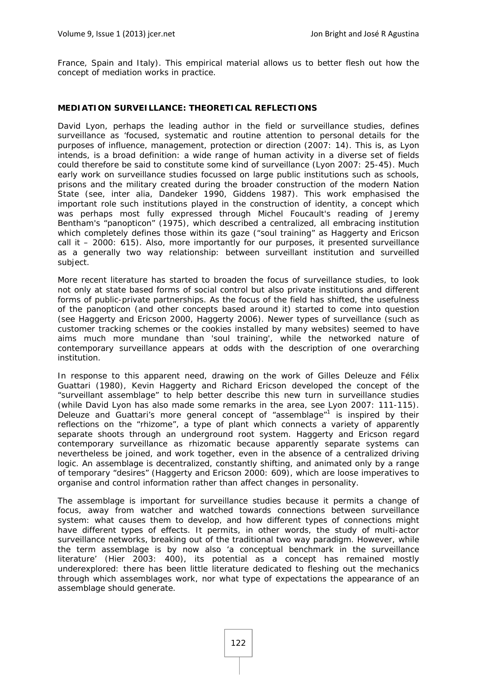France, Spain and Italy). This empirical material allows us to better flesh out how the concept of mediation works in practice.

## **MEDIATION SURVEILLANCE: THEORETICAL REFLECTIONS**

David Lyon, perhaps the leading author in the field or surveillance studies, defines surveillance as 'focused, systematic and routine attention to personal details for the purposes of influence, management, protection or direction (2007: 14). This is, as Lyon intends, is a broad definition: a wide range of human activity in a diverse set of fields could therefore be said to constitute some kind of surveillance (Lyon 2007: 25-45). Much early work on surveillance studies focussed on large public institutions such as schools, prisons and the military created during the broader construction of the modern Nation State (see, inter alia, Dandeker 1990, Giddens 1987). This work emphasised the important role such institutions played in the construction of identity, a concept which was perhaps most fully expressed through Michel Foucault's reading of Jeremy Bentham's "panopticon" (1975), which described a centralized, all embracing institution which completely defines those within its gaze ("soul training" as Haggerty and Ericson call it – 2000: 615). Also, more importantly for our purposes, it presented surveillance as a generally two way relationship: between surveillant institution and surveilled subject.

More recent literature has started to broaden the focus of surveillance studies, to look not only at state based forms of social control but also private institutions and different forms of public-private partnerships. As the focus of the field has shifted, the usefulness of the panopticon (and other concepts based around it) started to come into question (see Haggerty and Ericson 2000, Haggerty 2006). Newer types of surveillance (such as customer tracking schemes or the cookies installed by many websites) seemed to have aims much more mundane than 'soul training', while the networked nature of contemporary surveillance appears at odds with the description of one overarching institution.

In response to this apparent need, drawing on the work of Gilles Deleuze and Félix Guattari (1980), Kevin Haggerty and Richard Ericson developed the concept of the "surveillant assemblage" to help better describe this new turn in surveillance studies (while David Lyon has also made some remarks in the area, see Lyon 2007: 111-115). Deleuze and Guattari's more general concept of "assemblage"<sup>1</sup> is inspired by their reflections on the "rhizome", a type of plant which connects a variety of apparently separate shoots through an underground root system. Haggerty and Ericson regard contemporary surveillance as rhizomatic because apparently separate systems can nevertheless be joined, and work together, even in the absence of a centralized driving logic. An assemblage is decentralized, constantly shifting, and animated only by a range of temporary "desires" (Haggerty and Ericson 2000: 609), which are loose imperatives to organise and control information rather than affect changes in personality.

The assemblage is important for surveillance studies because it permits a change of focus, away from watcher and watched towards connections between surveillance system: what causes them to develop, and how different types of connections might have different types of effects. It permits, in other words, the study of multi-actor surveillance networks, breaking out of the traditional two way paradigm. However, while the term assemblage is by now also 'a conceptual benchmark in the surveillance literature' (Hier 2003: 400), its potential as a concept has remained mostly underexplored: there has been little literature dedicated to fleshing out the mechanics through which assemblages work, nor what type of expectations the appearance of an assemblage should generate.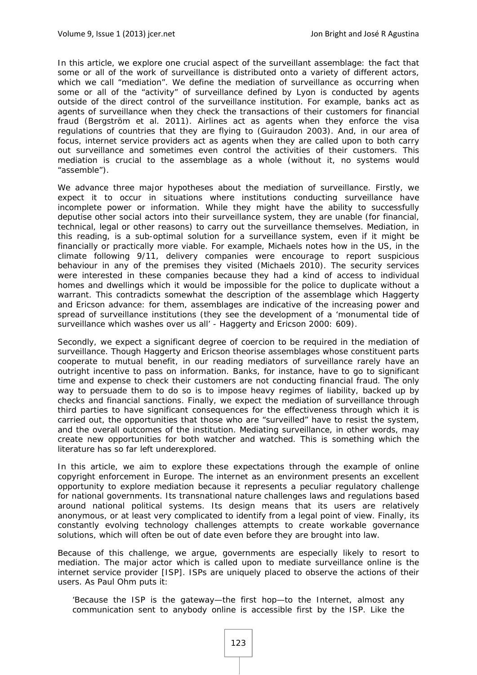In this article, we explore one crucial aspect of the surveillant assemblage: the fact that some or all of the work of surveillance is distributed onto a variety of different actors, which we call "mediation". We define the mediation of surveillance as occurring when some or all of the "activity" of surveillance defined by Lyon is conducted by agents outside of the direct control of the surveillance institution. For example, banks act as agents of surveillance when they check the transactions of their customers for financial fraud (Bergström et al. 2011). Airlines act as agents when they enforce the visa regulations of countries that they are flying to (Guiraudon 2003). And, in our area of focus, internet service providers act as agents when they are called upon to both carry out surveillance and sometimes even control the activities of their customers. This mediation is crucial to the assemblage as a whole (without it, no systems would "assemble").

We advance three major hypotheses about the mediation of surveillance. Firstly, we expect it to occur in situations where institutions conducting surveillance have incomplete power or information. While they might have the ability to successfully deputise other social actors into their surveillance system, they are unable (for financial, technical, legal or other reasons) to carry out the surveillance themselves. Mediation, in this reading, is a sub-optimal solution for a surveillance system, even if it might be financially or practically more viable. For example, Michaels notes how in the US, in the climate following 9/11, delivery companies were encourage to report suspicious behaviour in any of the premises they visited (Michaels 2010). The security services were interested in these companies because they had a kind of access to individual homes and dwellings which it would be impossible for the police to duplicate without a warrant. This contradicts somewhat the description of the assemblage which Haggerty and Ericson advance: for them, assemblages are indicative of the increasing power and spread of surveillance institutions (they see the development of a 'monumental tide of surveillance which washes over us all' - Haggerty and Ericson 2000: 609).

Secondly, we expect a significant degree of coercion to be required in the mediation of surveillance. Though Haggerty and Ericson theorise assemblages whose constituent parts cooperate to mutual benefit, in our reading mediators of surveillance rarely have an outright incentive to pass on information. Banks, for instance, have to go to significant time and expense to check their customers are not conducting financial fraud. The only way to persuade them to do so is to impose heavy regimes of liability, backed up by checks and financial sanctions. Finally, we expect the mediation of surveillance through third parties to have significant consequences for the effectiveness through which it is carried out, the opportunities that those who are "surveilled" have to resist the system, and the overall outcomes of the institution. Mediating surveillance, in other words, may create new opportunities for both watcher and watched. This is something which the literature has so far left underexplored.

In this article, we aim to explore these expectations through the example of online copyright enforcement in Europe. The internet as an environment presents an excellent opportunity to explore mediation because it represents a peculiar regulatory challenge for national governments. Its transnational nature challenges laws and regulations based around national political systems. Its design means that its users are relatively anonymous, or at least very complicated to identify from a legal point of view. Finally, its constantly evolving technology challenges attempts to create workable governance solutions, which will often be out of date even before they are brought into law.

Because of this challenge, we argue, governments are especially likely to resort to mediation. The major actor which is called upon to mediate surveillance online is the internet service provider [ISP]. ISPs are uniquely placed to observe the actions of their users. As Paul Ohm puts it:

'Because the ISP is the gateway—the first hop—to the Internet, almost any communication sent to anybody online is accessible first by the ISP. Like the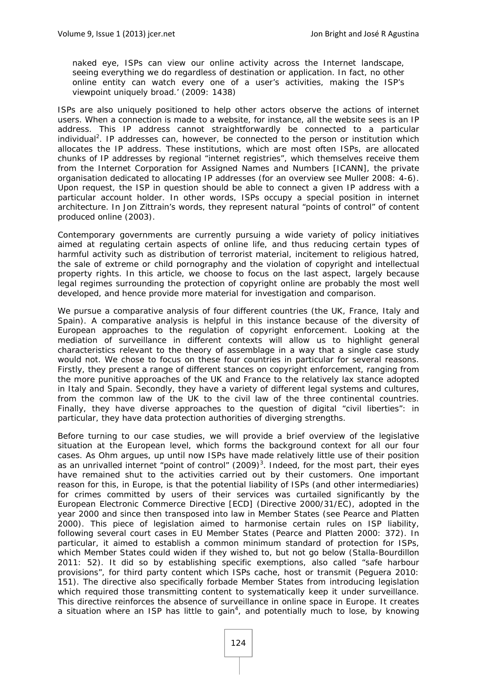naked eye, ISPs can view our online activity across the Internet landscape, seeing everything we do regardless of destination or application. In fact, no other online entity can watch every one of a user's activities, making the ISP's viewpoint uniquely broad.' (2009: 1438)

ISPs are also uniquely positioned to help other actors observe the actions of internet users. When a connection is made to a website, for instance, all the website sees is an IP address. This IP address cannot straightforwardly be connected to a particular individual<sup>2</sup>. IP addresses can, however, be connected to the person or institution which allocates the IP address. These institutions, which are most often ISPs, are allocated chunks of IP addresses by regional "internet registries", which themselves receive them from the Internet Corporation for Assigned Names and Numbers [ICANN], the private organisation dedicated to allocating IP addresses (for an overview see Muller 2008: 4-6). Upon request, the ISP in question should be able to connect a given IP address with a particular account holder. In other words, ISPs occupy a special position in internet architecture. In Jon Zittrain's words, they represent natural "points of control" of content produced online (2003).

Contemporary governments are currently pursuing a wide variety of policy initiatives aimed at regulating certain aspects of online life, and thus reducing certain types of harmful activity such as distribution of terrorist material, incitement to religious hatred, the sale of extreme or child pornography and the violation of copyright and intellectual property rights. In this article, we choose to focus on the last aspect, largely because legal regimes surrounding the protection of copyright online are probably the most well developed, and hence provide more material for investigation and comparison.

We pursue a comparative analysis of four different countries (the UK, France, Italy and Spain). A comparative analysis is helpful in this instance because of the diversity of European approaches to the regulation of copyright enforcement. Looking at the mediation of surveillance in different contexts will allow us to highlight general characteristics relevant to the theory of assemblage in a way that a single case study would not. We chose to focus on these four countries in particular for several reasons. Firstly, they present a range of different stances on copyright enforcement, ranging from the more punitive approaches of the UK and France to the relatively lax stance adopted in Italy and Spain. Secondly, they have a variety of different legal systems and cultures, from the common law of the UK to the civil law of the three continental countries. Finally, they have diverse approaches to the question of digital "civil liberties": in particular, they have data protection authorities of diverging strengths.

Before turning to our case studies, we will provide a brief overview of the legislative situation at the European level, which forms the background context for all our four cases. As Ohm argues, up until now ISPs have made relatively little use of their position as an unrivalled internet "point of control"  $(2009)^3$ . Indeed, for the most part, their eyes have remained shut to the activities carried out by their customers. One important reason for this, in Europe, is that the potential liability of ISPs (and other intermediaries) for crimes committed by users of their services was curtailed significantly by the European Electronic Commerce Directive [ECD] (Directive 2000/31/EC), adopted in the year 2000 and since then transposed into law in Member States (see Pearce and Platten 2000). This piece of legislation aimed to harmonise certain rules on ISP liability, following several court cases in EU Member States (Pearce and Platten 2000: 372). In particular, it aimed to establish a common minimum standard of protection for ISPs, which Member States could widen if they wished to, but not go below (Stalla-Bourdillon 2011: 52). It did so by establishing specific exemptions, also called "safe harbour provisions", for third party content which ISPs cache, host or transmit (Peguera 2010: 151). The directive also specifically forbade Member States from introducing legislation which required those transmitting content to systematically keep it under surveillance. This directive reinforces the absence of surveillance in online space in Europe. It creates a situation where an ISP has little to gain<sup>4</sup>, and potentially much to lose, by knowing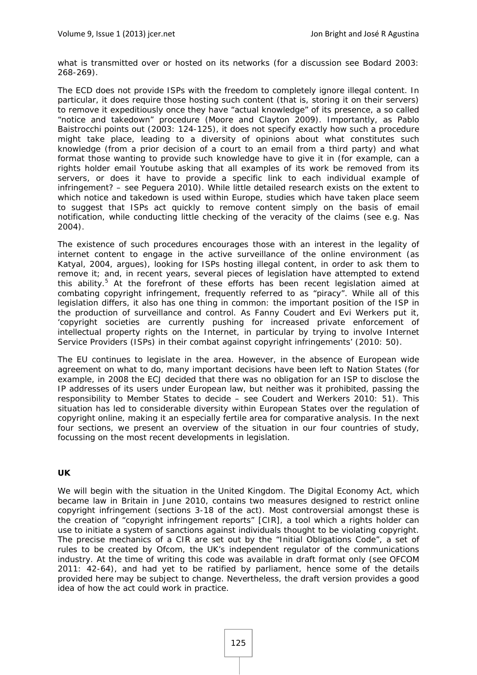what is transmitted over or hosted on its networks (for a discussion see Bodard 2003: 268-269).

The ECD does not provide ISPs with the freedom to completely ignore illegal content. In particular, it does require those hosting such content (that is, storing it on their servers) to remove it expeditiously once they have "actual knowledge" of its presence, a so called "notice and takedown" procedure (Moore and Clayton 2009). Importantly, as Pablo Baistrocchi points out (2003: 124-125), it does not specify exactly how such a procedure might take place, leading to a diversity of opinions about what constitutes such knowledge (from a prior decision of a court to an email from a third party) and what format those wanting to provide such knowledge have to give it in (for example, can a rights holder email Youtube asking that all examples of its work be removed from its servers, or does it have to provide a specific link to each individual example of infringement? – see Peguera 2010). While little detailed research exists on the extent to which notice and takedown is used within Europe, studies which have taken place seem to suggest that ISPs act quickly to remove content simply on the basis of email notification, while conducting little checking of the veracity of the claims (see e.g. Nas 2004).

The existence of such procedures encourages those with an interest in the legality of internet content to engage in the active surveillance of the online environment (as Katyal, 2004, argues), looking for ISPs hosting illegal content, in order to ask them to remove it; and, in recent years, several pieces of legislation have attempted to extend this ability.<sup>5</sup> At the forefront of these efforts has been recent legislation aimed at combating copyright infringement, frequently referred to as "piracy". While all of this legislation differs, it also has one thing in common: the important position of the ISP in the production of surveillance and control. As Fanny Coudert and Evi Werkers put it, 'copyright societies are currently pushing for increased private enforcement of intellectual property rights on the Internet, in particular by trying to involve Internet Service Providers (ISPs) in their combat against copyright infringements' (2010: 50).

The EU continues to legislate in the area. However, in the absence of European wide agreement on what to do, many important decisions have been left to Nation States (for example, in 2008 the ECJ decided that there was no obligation for an ISP to disclose the IP addresses of its users under European law, but neither was it prohibited, passing the responsibility to Member States to decide – see Coudert and Werkers 2010: 51). This situation has led to considerable diversity within European States over the regulation of copyright online, making it an especially fertile area for comparative analysis. In the next four sections, we present an overview of the situation in our four countries of study, focussing on the most recent developments in legislation.

## **UK**

We will begin with the situation in the United Kingdom. The Digital Economy Act, which became law in Britain in June 2010, contains two measures designed to restrict online copyright infringement (sections 3-18 of the act). Most controversial amongst these is the creation of "copyright infringement reports" [CIR], a tool which a rights holder can use to initiate a system of sanctions against individuals thought to be violating copyright. The precise mechanics of a CIR are set out by the "Initial Obligations Code", a set of rules to be created by Ofcom, the UK's independent regulator of the communications industry. At the time of writing this code was available in draft format only (see OFCOM 2011: 42-64), and had yet to be ratified by parliament, hence some of the details provided here may be subject to change. Nevertheless, the draft version provides a good idea of how the act could work in practice.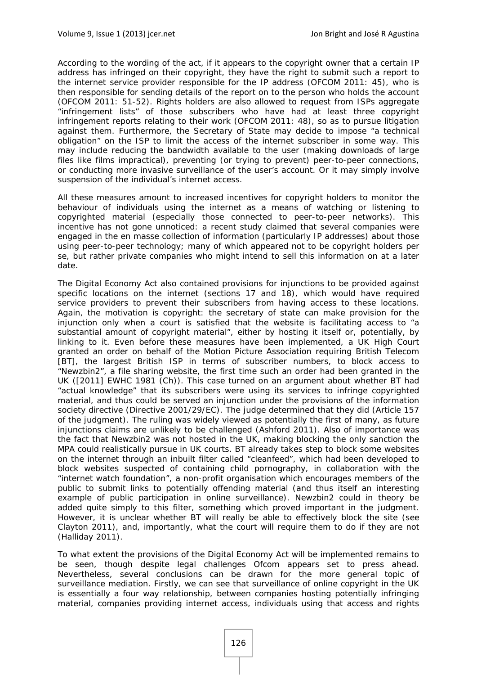According to the wording of the act, if it appears to the copyright owner that a certain IP address has infringed on their copyright, they have the right to submit such a report to the internet service provider responsible for the IP address (OFCOM 2011: 45), who is then responsible for sending details of the report on to the person who holds the account (OFCOM 2011: 51-52). Rights holders are also allowed to request from ISPs aggregate "infringement lists" of those subscribers who have had at least three copyright infringement reports relating to their work (OFCOM 2011: 48), so as to pursue litigation against them. Furthermore, the Secretary of State may decide to impose "a technical obligation" on the ISP to limit the access of the internet subscriber in some way. This may include reducing the bandwidth available to the user (making downloads of large files like films impractical), preventing (or trying to prevent) peer-to-peer connections, or conducting more invasive surveillance of the user's account. Or it may simply involve suspension of the individual's internet access.

All these measures amount to increased incentives for copyright holders to monitor the behaviour of individuals using the internet as a means of watching or listening to copyrighted material (especially those connected to peer-to-peer networks). This incentive has not gone unnoticed: a recent study claimed that several companies were engaged in the en masse collection of information (particularly IP addresses) about those using peer-to-peer technology; many of which appeared not to be copyright holders per se, but rather private companies who might intend to sell this information on at a later date.

The Digital Economy Act also contained provisions for injunctions to be provided against specific locations on the internet (sections 17 and 18), which would have required service providers to prevent their subscribers from having access to these locations. Again, the motivation is copyright: the secretary of state can make provision for the injunction only when a court is satisfied that the website is facilitating access to "a substantial amount of copyright material", either by hosting it itself or, potentially, by linking to it. Even before these measures have been implemented, a UK High Court granted an order on behalf of the Motion Picture Association requiring British Telecom [BT], the largest British ISP in terms of subscriber numbers, to block access to "Newzbin2", a file sharing website, the first time such an order had been granted in the UK ([2011] EWHC 1981 (Ch)). This case turned on an argument about whether BT had "actual knowledge" that its subscribers were using its services to infringe copyrighted material, and thus could be served an injunction under the provisions of the information society directive (Directive 2001/29/EC). The judge determined that they did (Article 157 of the judgment). The ruling was widely viewed as potentially the first of many, as future injunctions claims are unlikely to be challenged (Ashford 2011). Also of importance was the fact that Newzbin2 was not hosted in the UK, making blocking the only sanction the MPA could realistically pursue in UK courts. BT already takes step to block some websites on the internet through an inbuilt filter called "cleanfeed", which had been developed to block websites suspected of containing child pornography, in collaboration with the "internet watch foundation", a non-profit organisation which encourages members of the public to submit links to potentially offending material (and thus itself an interesting example of public participation in online surveillance). Newzbin2 could in theory be added quite simply to this filter, something which proved important in the judgment. However, it is unclear whether BT will really be able to effectively block the site (see Clayton 2011), and, importantly, what the court will require them to do if they are not (Halliday 2011).

To what extent the provisions of the Digital Economy Act will be implemented remains to be seen, though despite legal challenges Ofcom appears set to press ahead. Nevertheless, several conclusions can be drawn for the more general topic of surveillance mediation. Firstly, we can see that surveillance of online copyright in the UK is essentially a four way relationship, between companies hosting potentially infringing material, companies providing internet access, individuals using that access and rights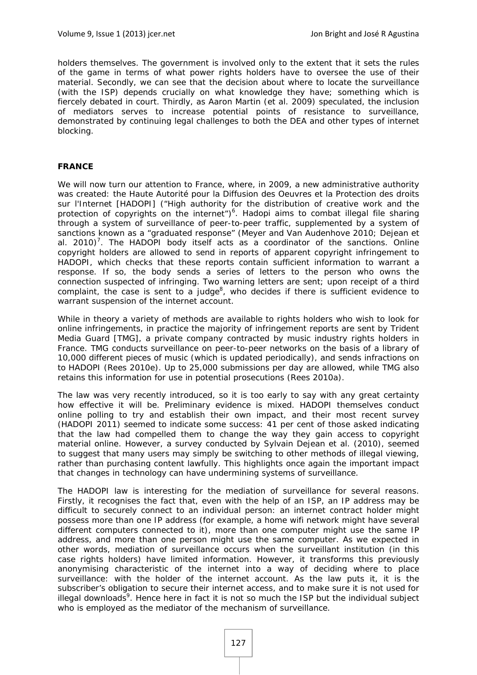holders themselves. The government is involved only to the extent that it sets the rules of the game in terms of what power rights holders have to oversee the use of their material. Secondly, we can see that the decision about where to locate the surveillance (with the ISP) depends crucially on what knowledge they have; something which is fiercely debated in court. Thirdly, as Aaron Martin (et al. 2009) speculated, the inclusion of mediators serves to increase potential points of resistance to surveillance, demonstrated by continuing legal challenges to both the DEA and other types of internet blocking.

## **FRANCE**

We will now turn our attention to France, where, in 2009, a new administrative authority was created: the *Haute Autorité pour la Diffusion des Oeuvres et la Protection des droits sur l'Internet* [HADOPI] ("High authority for the distribution of creative work and the protection of copyrights on the internet<sup>"</sup>)<sup>6</sup>. Hadopi aims to combat illegal file sharing through a system of surveillance of peer-to-peer traffic, supplemented by a system of sanctions known as a "graduated response" (Meyer and Van Audenhove 2010; Dejean et al. 2010)<sup>7</sup>. The HADOPI body itself acts as a coordinator of the sanctions. Online copyright holders are allowed to send in reports of apparent copyright infringement to HADOPI, which checks that these reports contain sufficient information to warrant a response. If so, the body sends a series of letters to the person who owns the connection suspected of infringing. Two warning letters are sent; upon receipt of a third complaint, the case is sent to a judge<sup>8</sup>, who decides if there is sufficient evidence to warrant suspension of the internet account.

While in theory a variety of methods are available to rights holders who wish to look for online infringements, in practice the majority of infringement reports are sent by Trident Media Guard [TMG], a private company contracted by music industry rights holders in France. TMG conducts surveillance on peer-to-peer networks on the basis of a library of 10,000 different pieces of music (which is updated periodically), and sends infractions on to HADOPI (Rees 2010e). Up to 25,000 submissions per day are allowed, while TMG also retains this information for use in potential prosecutions (Rees 2010a).

The law was very recently introduced, so it is too early to say with any great certainty how effective it will be. Preliminary evidence is mixed. HADOPI themselves conduct online polling to try and establish their own impact, and their most recent survey (HADOPI 2011) seemed to indicate some success: 41 per cent of those asked indicating that the law had compelled them to change the way they gain access to copyright material online. However, a survey conducted by Sylvain Dejean et al. (2010), seemed to suggest that many users may simply be switching to other methods of illegal viewing, rather than purchasing content lawfully. This highlights once again the important impact that changes in technology can have undermining systems of surveillance.

The HADOPI law is interesting for the mediation of surveillance for several reasons. Firstly, it recognises the fact that, even with the help of an ISP, an IP address may be difficult to securely connect to an individual person: an internet contract holder might possess more than one IP address (for example, a home wifi network might have several different computers connected to it), more than one computer might use the same IP address, and more than one person might use the same computer. As we expected in other words, mediation of surveillance occurs when the surveillant institution (in this case rights holders) have limited information. However, it transforms this previously anonymising characteristic of the internet into a way of deciding where to place surveillance: with the holder of the internet account. As the law puts it, it is the subscriber's obligation to secure their internet access, and to make sure it is not used for illegal downloads<sup>9</sup>. Hence here in fact it is not so much the ISP but the individual subject who is employed as the mediator of the mechanism of surveillance.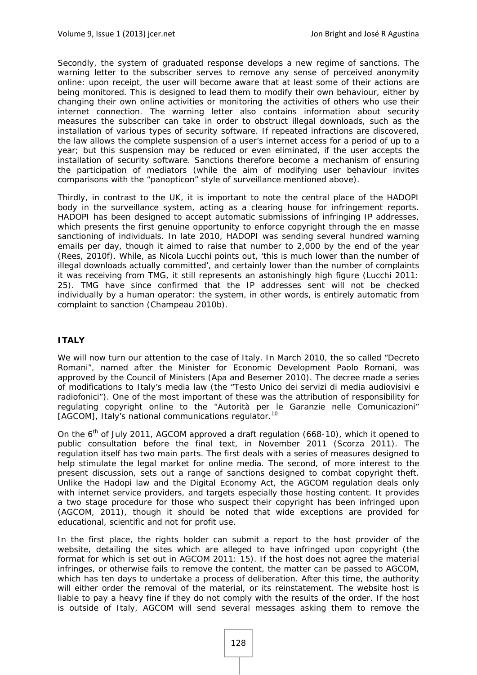Secondly, the system of graduated response develops a new regime of sanctions. The warning letter to the subscriber serves to remove any sense of perceived anonymity online: upon receipt, the user will become aware that at least some of their actions are being monitored. This is designed to lead them to modify their own behaviour, either by changing their own online activities or monitoring the activities of others who use their internet connection. The warning letter also contains information about security measures the subscriber can take in order to obstruct illegal downloads, such as the installation of various types of security software. If repeated infractions are discovered, the law allows the complete suspension of a user's internet access for a period of up to a year; but this suspension may be reduced or even eliminated, if the user accepts the installation of security software. Sanctions therefore become a mechanism of ensuring the participation of mediators (while the aim of modifying user behaviour invites comparisons with the "panopticon" style of surveillance mentioned above).

Thirdly, in contrast to the UK, it is important to note the central place of the HADOPI body in the surveillance system, acting as a clearing house for infringement reports. HADOPI has been designed to accept automatic submissions of infringing IP addresses, which presents the first genuine opportunity to enforce copyright through the *en masse* sanctioning of individuals. In late 2010, HADOPI was sending several hundred warning emails per day, though it aimed to raise that number to 2,000 by the end of the year (Rees, 2010f). While, as Nicola Lucchi points out, 'this is much lower than the number of illegal downloads actually committed', and certainly lower than the number of complaints it was receiving from TMG, it still represents an astonishingly high figure (Lucchi 2011: 25). TMG have since confirmed that the IP addresses sent will not be checked individually by a human operator: the system, in other words, is entirely automatic from complaint to sanction (Champeau 2010b).

## **ITALY**

We will now turn our attention to the case of Italy. In March 2010, the so called "Decreto Romani", named after the Minister for Economic Development Paolo Romani, was approved by the Council of Ministers (Apa and Besemer 2010). The decree made a series of modifications to Italy's media law (the *"Testo Unico dei servizi di media audiovisivi e radiofonici"*). One of the most important of these was the attribution of responsibility for regulating copyright online to the *"Autorità per le Garanzie nelle Comunicazioni"* [AGCOM], Italy's national communications regulator.<sup>10</sup>

On the 6<sup>th</sup> of July 2011, AGCOM approved a draft regulation (668-10), which it opened to public consultation before the final text, in November 2011 (Scorza 2011). The regulation itself has two main parts. The first deals with a series of measures designed to help stimulate the legal market for online media. The second, of more interest to the present discussion, sets out a range of sanctions designed to combat copyright theft. Unlike the Hadopi law and the Digital Economy Act, the AGCOM regulation deals only with internet service providers, and targets especially those hosting content. It provides a two stage procedure for those who suspect their copyright has been infringed upon (AGCOM, 2011), though it should be noted that wide exceptions are provided for educational, scientific and not for profit use.

In the first place, the rights holder can submit a report to the host provider of the website, detailing the sites which are alleged to have infringed upon copyright (the format for which is set out in AGCOM 2011: 15). If the host does not agree the material infringes, or otherwise fails to remove the content, the matter can be passed to AGCOM, which has ten days to undertake a process of deliberation. After this time, the authority will either order the removal of the material, or its reinstatement. The website host is liable to pay a heavy fine if they do not comply with the results of the order. If the host is outside of Italy, AGCOM will send several messages asking them to remove the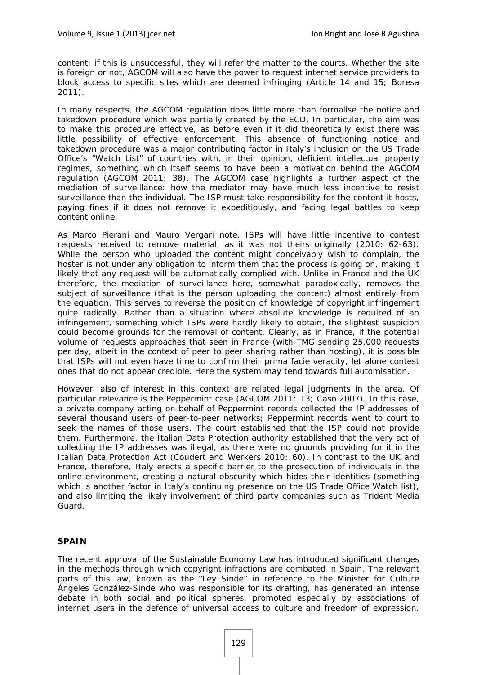content; if this is unsuccessful, they will refer the matter to the courts. Whether the site is foreign or not, AGCOM will also have the power to request internet service providers to block access to specific sites which are deemed infringing (Article 14 and 15; Boresa 2011).

In many respects, the AGCOM regulation does little more than formalise the notice and takedown procedure which was partially created by the ECD. In particular, the aim was to make this procedure effective, as before even if it did theoretically exist there was little possibility of effective enforcement. This absence of functioning notice and takedown procedure was a major contributing factor in Italy's inclusion on the US Trade Office's "Watch List" of countries with, in their opinion, deficient intellectual property regimes, something which itself seems to have been a motivation behind the AGCOM regulation (AGCOM 2011: 38). The AGCOM case highlights a further aspect of the mediation of surveillance: how the mediator may have much less incentive to resist surveillance than the individual. The ISP must take responsibility for the content it hosts, paying fines if it does not remove it expeditiously, and facing legal battles to keep content online.

As Marco Pierani and Mauro Vergari note, ISPs will have little incentive to contest requests received to remove material, as it was not theirs originally (2010: 62-63). While the person who uploaded the content might conceivably wish to complain, the hoster is not under any obligation to inform them that the process is going on, making it likely that any request will be automatically complied with. Unlike in France and the UK therefore, the mediation of surveillance here, somewhat paradoxically, removes the subject of surveillance (that is the person uploading the content) almost entirely from the equation. This serves to reverse the position of knowledge of copyright infringement quite radically. Rather than a situation where absolute knowledge is required of an infringement, something which ISPs were hardly likely to obtain, the slightest suspicion could become grounds for the removal of content. Clearly, as in France, if the potential volume of requests approaches that seen in France (with TMG sending 25,000 requests per day, albeit in the context of peer to peer sharing rather than hosting), it is possible that ISPs will not even have time to confirm their *prima facie* veracity, let alone contest ones that do not appear credible. Here the system may tend towards full automisation.

However, also of interest in this context are related legal judgments in the area. Of particular relevance is the Peppermint case (AGCOM 2011: 13; Caso 2007). In this case, a private company acting on behalf of Peppermint records collected the IP addresses of several thousand users of peer-to-peer networks; Peppermint records went to court to seek the names of those users. The court established that the ISP could not provide them. Furthermore, the Italian Data Protection authority established that the very act of collecting the IP addresses was illegal, as there were no grounds providing for it in the Italian Data Protection Act (Coudert and Werkers 2010: 60). In contrast to the UK and France, therefore, Italy erects a specific barrier to the prosecution of individuals in the online environment, creating a natural obscurity which hides their identities (something which is another factor in Italy's continuing presence on the US Trade Office Watch list), and also limiting the likely involvement of third party companies such as Trident Media Guard.

## **SPAIN**

The recent approval of the Sustainable Economy Law has introduced significant changes in the methods through which copyright infractions are combated in Spain. The relevant parts of this law, known as the *"Ley Sinde"* in reference to the Minister for Culture Ángeles González-Sinde who was responsible for its drafting, has generated an intense debate in both social and political spheres, promoted especially by associations of internet users in the defence of universal access to culture and freedom of expression.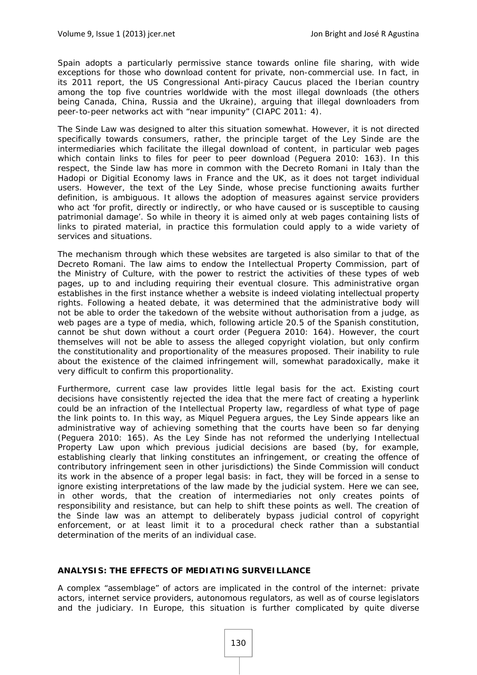Spain adopts a particularly permissive stance towards online file sharing, with wide exceptions for those who download content for private, non-commercial use. In fact, in its 2011 report, the US Congressional Anti-piracy Caucus placed the Iberian country among the top five countries worldwide with the most illegal downloads (the others being Canada, China, Russia and the Ukraine), arguing that illegal downloaders from peer-to-peer networks act with "near impunity" (CIAPC 2011: 4).

The Sinde Law was designed to alter this situation somewhat. However, it is not directed specifically towards consumers, rather, the principle target of the *Ley Sinde* are the intermediaries which facilitate the illegal download of content, in particular web pages which contain links to files for peer to peer download (Peguera 2010: 163). In this respect, the *Sinde* law has more in common with the *Decreto Romani* in Italy than the Hadopi or Digitial Economy laws in France and the UK, as it does not target individual users. However, the text of the *Ley Sinde*, whose precise functioning awaits further definition, is ambiguous. It allows the adoption of measures against service providers who act 'for profit, directly or indirectly, or who have caused or is susceptible to causing patrimonial damage'. So while in theory it is aimed only at web pages containing lists of links to pirated material, in practice this formulation could apply to a wide variety of services and situations.

The mechanism through which these websites are targeted is also similar to that of the *Decreto Romani*. The law aims to endow the Intellectual Property Commission, part of the Ministry of Culture, with the power to restrict the activities of these types of web pages, up to and including requiring their eventual closure. This administrative organ establishes in the first instance whether a website is indeed violating intellectual property rights. Following a heated debate, it was determined that the administrative body will not be able to order the takedown of the website without authorisation from a judge, as web pages are a type of media, which, following article 20.5 of the Spanish constitution, cannot be shut down without a court order (Peguera 2010: 164). However, the court themselves will not be able to assess the alleged copyright violation, but only confirm the constitutionality and proportionality of the measures proposed. Their inability to rule about the existence of the claimed infringement will, somewhat paradoxically, make it very difficult to confirm this proportionality.

Furthermore, current case law provides little legal basis for the act. Existing court decisions have consistently rejected the idea that the mere fact of creating a hyperlink could be an infraction of the Intellectual Property law, regardless of what type of page the link points to. In this way, as Miquel Peguera argues, the *Ley Sinde* appears like an administrative way of achieving something that the courts have been so far denying (Peguera 2010: 165). As the *Ley Sinde* has not reformed the underlying Intellectual Property Law upon which previous judicial decisions are based (by, for example, establishing clearly that linking constitutes an infringement, or creating the offence of contributory infringement seen in other jurisdictions) the *Sinde* Commission will conduct its work in the absence of a proper legal basis: in fact, they will be forced in a sense to ignore existing interpretations of the law made by the judicial system. Here we can see, in other words, that the creation of intermediaries not only creates points of responsibility and resistance, but can help to shift these points as well. The creation of the *Sinde* law was an attempt to deliberately bypass judicial control of copyright enforcement, or at least limit it to a procedural check rather than a substantial determination of the merits of an individual case.

## **ANALYSIS: THE EFFECTS OF MEDIATING SURVEILLANCE**

A complex "assemblage" of actors are implicated in the control of the internet: private actors, internet service providers, autonomous regulators, as well as of course legislators and the judiciary. In Europe, this situation is further complicated by quite diverse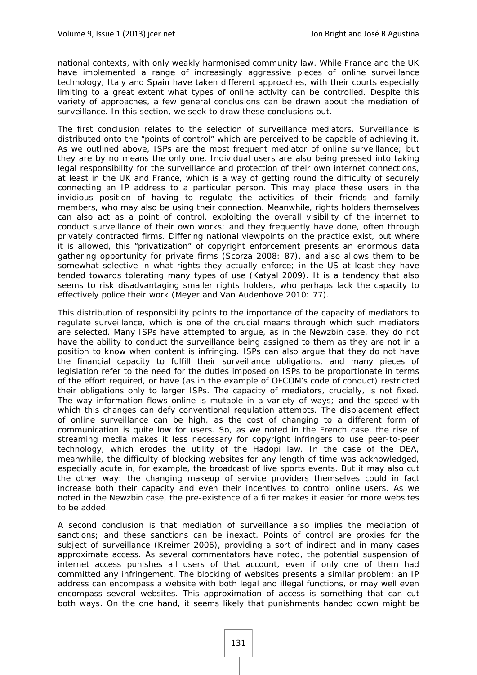national contexts, with only weakly harmonised community law. While France and the UK have implemented a range of increasingly aggressive pieces of online surveillance technology, Italy and Spain have taken different approaches, with their courts especially limiting to a great extent what types of online activity can be controlled. Despite this variety of approaches, a few general conclusions can be drawn about the mediation of surveillance. In this section, we seek to draw these conclusions out.

The first conclusion relates to the selection of surveillance mediators. Surveillance is distributed onto the "points of control" which are perceived to be capable of achieving it. As we outlined above, ISPs are the most frequent mediator of online surveillance; but they are by no means the only one. Individual users are also being pressed into taking legal responsibility for the surveillance and protection of their own internet connections, at least in the UK and France, which is a way of getting round the difficulty of securely connecting an IP address to a particular person. This may place these users in the invidious position of having to regulate the activities of their friends and family members, who may also be using their connection. Meanwhile, rights holders themselves can also act as a point of control, exploiting the overall visibility of the internet to conduct surveillance of their own works; and they frequently have done, often through privately contracted firms. Differing national viewpoints on the practice exist, but where it is allowed, this "privatization" of copyright enforcement presents an enormous data gathering opportunity for private firms (Scorza 2008: 87), and also allows them to be somewhat selective in what rights they actually enforce; in the US at least they have tended towards tolerating many types of use (Katyal 2009). It is a tendency that also seems to risk disadvantaging smaller rights holders, who perhaps lack the capacity to effectively police their work (Meyer and Van Audenhove 2010: 77).

This distribution of responsibility points to the importance of the *capacity* of mediators to regulate surveillance, which is one of the crucial means through which such mediators are selected. Many ISPs have attempted to argue, as in the Newzbin case, they do not have the ability to conduct the surveillance being assigned to them as they are not in a position to know when content is infringing. ISPs can also argue that they do not have the financial capacity to fulfill their surveillance obligations, and many pieces of legislation refer to the need for the duties imposed on ISPs to be proportionate in terms of the effort required, or have (as in the example of OFCOM's code of conduct) restricted their obligations only to larger ISPs. The capacity of mediators, crucially, is not fixed. The way information flows online is mutable in a variety of ways; and the speed with which this changes can defy conventional regulation attempts. The displacement effect of online surveillance can be high, as the cost of changing to a different form of communication is quite low for users. So, as we noted in the French case, the rise of streaming media makes it less necessary for copyright infringers to use peer-to-peer technology, which erodes the utility of the Hadopi law. In the case of the DEA, meanwhile, the difficulty of blocking websites for any length of time was acknowledged, especially acute in, for example, the broadcast of live sports events. But it may also cut the other way: the changing makeup of service providers themselves could in fact increase both their capacity and even their incentives to control online users. As we noted in the Newzbin case, the pre-existence of a filter makes it easier for more websites to be added.

A second conclusion is that mediation of surveillance also implies the mediation of sanctions; and these sanctions can be inexact. Points of control are proxies for the subject of surveillance (Kreimer 2006), providing a sort of indirect and in many cases approximate access. As several commentators have noted, the potential suspension of internet access punishes all users of that account, even if only one of them had committed any infringement. The blocking of websites presents a similar problem: an IP address can encompass a website with both legal and illegal functions, or may well even encompass several websites. This approximation of access is something that can cut both ways. On the one hand, it seems likely that punishments handed down might be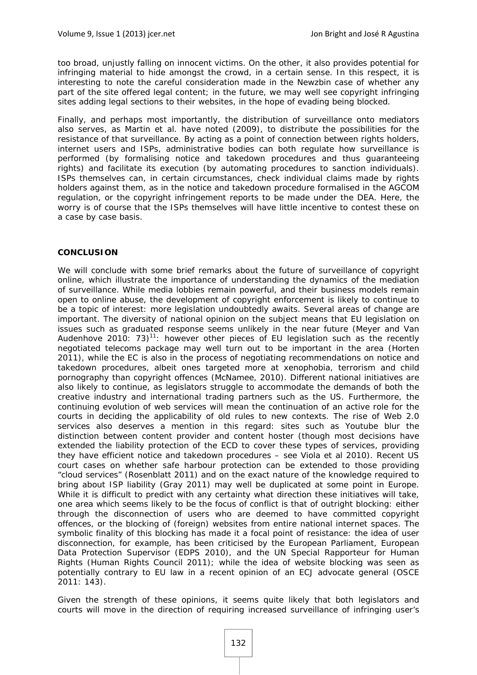too broad, unjustly falling on innocent victims. On the other, it also provides potential for infringing material to hide amongst the crowd, in a certain sense. In this respect, it is interesting to note the careful consideration made in the Newzbin case of whether any part of the site offered legal content; in the future, we may well see copyright infringing sites adding legal sections to their websites, in the hope of evading being blocked.

Finally, and perhaps most importantly, the distribution of surveillance onto mediators also serves, as Martin et al. have noted (2009), to distribute the possibilities for the resistance of that surveillance. By acting as a point of connection between rights holders, internet users and ISPs, administrative bodies can both regulate how surveillance is performed (by formalising notice and takedown procedures and thus guaranteeing rights) and facilitate its execution (by automating procedures to sanction individuals). ISPs themselves can, in certain circumstances, check individual claims made by rights holders against them, as in the notice and takedown procedure formalised in the AGCOM regulation, or the copyright infringement reports to be made under the DEA. Here, the worry is of course that the ISPs themselves will have little incentive to contest these on a case by case basis.

## **CONCLUSION**

We will conclude with some brief remarks about the future of surveillance of copyright online, which illustrate the importance of understanding the dynamics of the mediation of surveillance. While media lobbies remain powerful, and their business models remain open to online abuse, the development of copyright enforcement is likely to continue to be a topic of interest: more legislation undoubtedly awaits. Several areas of change are important. The diversity of national opinion on the subject means that EU legislation on issues such as graduated response seems unlikely in the near future (Meyer and Van Audenhove 2010: 73)<sup>11</sup>: however other pieces of EU legislation such as the recently negotiated telecoms package may well turn out to be important in the area (Horten 2011), while the EC is also in the process of negotiating recommendations on notice and takedown procedures, albeit ones targeted more at xenophobia, terrorism and child pornography than copyright offences (McNamee, 2010). Different national initiatives are also likely to continue, as legislators struggle to accommodate the demands of both the creative industry and international trading partners such as the US. Furthermore, the continuing evolution of web services will mean the continuation of an active role for the courts in deciding the applicability of old rules to new contexts. The rise of Web 2.0 services also deserves a mention in this regard: sites such as Youtube blur the distinction between content provider and content hoster (though most decisions have extended the liability protection of the ECD to cover these types of services, providing they have efficient notice and takedown procedures – see Viola et al 2010). Recent US court cases on whether safe harbour protection can be extended to those providing "cloud services" (Rosenblatt 2011) and on the exact nature of the knowledge required to bring about ISP liability (Gray 2011) may well be duplicated at some point in Europe. While it is difficult to predict with any certainty what direction these initiatives will take, one area which seems likely to be the focus of conflict is that of outright blocking: either through the disconnection of users who are deemed to have committed copyright offences, or the blocking of (foreign) websites from entire national internet spaces. The symbolic finality of this blocking has made it a focal point of resistance: the idea of user disconnection, for example, has been criticised by the European Parliament, European Data Protection Supervisor (EDPS 2010), and the UN Special Rapporteur for Human Rights (Human Rights Council 2011); while the idea of website blocking was seen as potentially contrary to EU law in a recent opinion of an ECJ advocate general (OSCE 2011: 143).

Given the strength of these opinions, it seems quite likely that both legislators and courts will move in the direction of requiring increased surveillance of infringing user's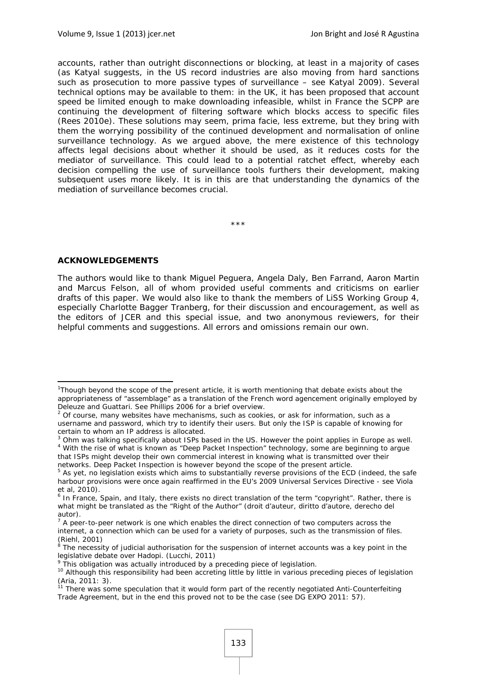accounts, rather than outright disconnections or blocking, at least in a majority of cases (as Katyal suggests, in the US record industries are also moving from hard sanctions such as prosecution to more passive types of surveillance – see Katyal 2009). Several technical options may be available to them: in the UK, it has been proposed that account speed be limited enough to make downloading infeasible, whilst in France the SCPP are continuing the development of filtering software which blocks access to specific files (Rees 2010e). These solutions may seem, *prima facie*, less extreme, but they bring with them the worrying possibility of the continued development and normalisation of online surveillance technology. As we argued above, the mere existence of this technology affects legal decisions about whether it should be used, as it reduces costs for the mediator of surveillance. This could lead to a potential ratchet effect, whereby each decision compelling the use of surveillance tools furthers their development, making subsequent uses more likely. It is in this are that understanding the dynamics of the mediation of surveillance becomes crucial.

\*\*\*

## **ACKNOWLEDGEMENTS**

The authors would like to thank Miguel Peguera, Angela Daly, Ben Farrand, Aaron Martin and Marcus Felson, all of whom provided useful comments and criticisms on earlier drafts of this paper. We would also like to thank the members of LiSS Working Group 4, especially Charlotte Bagger Tranberg, for their discussion and encouragement, as well as the editors of JCER and this special issue, and two anonymous reviewers, for their helpful comments and suggestions. All errors and omissions remain our own.

<sup>&</sup>lt;sup>1</sup>Though beyond the scope of the present article, it is worth mentioning that debate exists about the appropriateness of "assemblage" as a translation of the French word *agencement* originally employed by Deleuze and Guattari. See Phillips 2006 for a brief overview.

 $2$  Of course, many websites have mechanisms, such as cookies, or ask for information, such as a username and password, which *try* to identify their users. But only the ISP is capable of knowing for certain to whom an IP address is allocated.

 $3$  Ohm was talking specifically about ISPs based in the US. However the point applies in Europe as well.<br> $4$  Mith the rise of what is known as "Dean Basket Inspection" technology, some are beginning to argue <sup>4</sup> With the rise of what is known as "Deep Packet Inspection" technology, some are beginning to argue that ISPs might develop their own commercial interest in knowing what is transmitted over their networks. Deep Packet Inspection is however beyond the scope of the present article.

<sup>&</sup>lt;sup>5</sup> As yet, no legislation exists which aims to substantially reverse provisions of the ECD (indeed, the safe harbour provisions were once again reaffirmed in the EU's 2009 Universal Services Directive - see Viola et al, 2010).

<sup>&</sup>lt;sup>6</sup> In France, Spain, and Italy, there exists no direct translation of the term "copyright". Rather, there is what might be translated as the "Right of the Author" (*droit d'auteur, diritto d'autore, derecho del autor*). 7

A peer-to-peer network is one which enables the direct connection of two computers across the internet, a connection which can be used for a variety of purposes, such as the transmission of files. (Riehl, 2001)

<sup>&</sup>lt;sup>8</sup> The necessity of judicial authorisation for the suspension of internet accounts was a key point in the legislative debate over Hadopi. (Lucchi, 2011)

 $\degree$  This obligation was actually introduced by a preceding piece of legislation.<br><sup>10</sup> Although this responsibility had been accreting little by little in various preceding pieces of legislation (Aria, 2011: 3).

<sup>&</sup>lt;sup>11</sup> There was some speculation that it would form part of the recently negotiated Anti-Counterfeiting Trade Agreement, but in the end this proved not to be the case (see DG EXPO 2011: 57).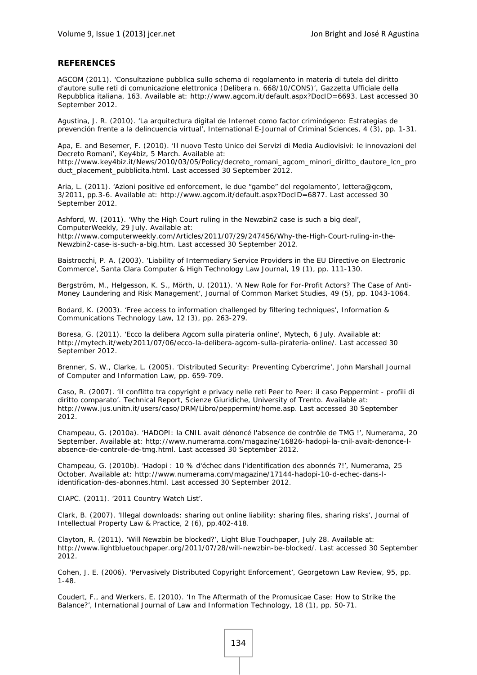#### **REFERENCES**

AGCOM (2011). 'Consultazione pubblica sullo schema di regolamento in materia di tutela del diritto d'autore sulle reti di comunicazione elettronica (Delibera n. 668/10/CONS)', *Gazzetta Ufficiale della Repubblica italiana*, 163. Available at: http://www.agcom.it/default.aspx?DocID=6693. Last accessed 30 September 2012.

Agustina, J. R. (2010). 'La arquitectura digital de Internet como factor criminógeno: Estrategias de prevención frente a la delincuencia virtual', *International E-Journal of Criminal Sciences*, 4 (3), pp. 1-31.

Apa, E. and Besemer, F. (2010). 'Il nuovo Testo Unico dei Servizi di Media Audiovisivi: le innovazioni del Decreto Romani', *Key4biz*, 5 March. Available at:

http://www.key4biz.it/News/2010/03/05/Policy/decreto\_romani\_agcom\_minori\_diritto\_dautore\_lcn\_pro duct\_placement\_pubblicita.html. Last accessed 30 September 2012.

Aria, L. (2011). 'Azioni positive ed enforcement, le due "gambe" del regolamento', *lettera@gcom*, 3/2011, pp.3-6. Available at: http://www.agcom.it/default.aspx?DocID=6877. Last accessed 30 September 2012.

Ashford, W. (2011). 'Why the High Court ruling in the Newzbin2 case is such a big deal', *ComputerWeekly*, 29 July. Available at: http://www.computerweekly.com/Articles/2011/07/29/247456/Why-the-High-Court-ruling-in-the-Newzbin2-case-is-such-a-big.htm. Last accessed 30 September 2012.

Baistrocchi, P. A. (2003). 'Liability of Intermediary Service Providers in the EU Directive on Electronic Commerce', *Santa Clara Computer & High Technology Law Journal*, 19 (1), pp. 111-130.

Bergström, M., Helgesson, K. S., Mörth, U. (2011). 'A New Role for For-Profit Actors? The Case of Anti-Money Laundering and Risk Management', *Journal of Common Market Studies*, 49 (5), pp. 1043-1064.

Bodard, K. (2003). 'Free access to information challenged by filtering techniques', *Information & Communications Technology Law*, 12 (3), pp. 263-279.

Boresa, G. (2011). 'Ecco la delibera Agcom sulla pirateria online', *Mytech*, 6 July. Available at: http://mytech.it/web/2011/07/06/ecco-la-delibera-agcom-sulla-pirateria-online/. Last accessed 30 September 2012.

Brenner, S. W., Clarke, L. (2005). 'Distributed Security: Preventing Cybercrime', *John Marshall Journal of Computer and Information Law*, pp. 659-709.

Caso, R. (2007). 'Il conflitto tra copyright e privacy nelle reti Peer to Peer: il caso Peppermint - profili di diritto comparato'. Technical Report, Scienze Giuridiche, University of Trento. Available at: http://www.jus.unitn.it/users/caso/DRM/Libro/peppermint/home.asp. Last accessed 30 September 2012.

Champeau, G. (2010a). 'HADOPI: la CNIL avait dénoncé l'absence de contrôle de TMG !', *Numerama*, 20 September. Available at: http://www.numerama.com/magazine/16826-hadopi-la-cnil-avait-denonce-labsence-de-controle-de-tmg.html. Last accessed 30 September 2012.

Champeau, G. (2010b). 'Hadopi : 10 % d'échec dans l'identification des abonnés ?!', *Numerama*, 25 October. Available at: http://www.numerama.com/magazine/17144-hadopi-10-d-echec-dans-lidentification-des-abonnes.html. Last accessed 30 September 2012.

CIAPC. (2011). '2011 Country Watch List'.

Clark, B. (2007). 'Illegal downloads: sharing out online liability: sharing files, sharing risks', *Journal of Intellectual Property Law & Practice*, 2 (6), pp.402-418*.* 

Clayton, R. (2011). 'Will Newzbin be blocked?', *Light Blue Touchpaper*, July 28. Available at: http://www.lightbluetouchpaper.org/2011/07/28/will-newzbin-be-blocked/. Last accessed 30 September 2012.

Cohen, J. E. (2006). 'Pervasively Distributed Copyright Enforcement', *Georgetown Law Review*, 95, pp. 1-48.

Coudert, F., and Werkers, E. (2010). 'In The Aftermath of the Promusicae Case: How to Strike the Balance?', *International Journal of Law and Information Technology*, 18 (1), pp. 50-71.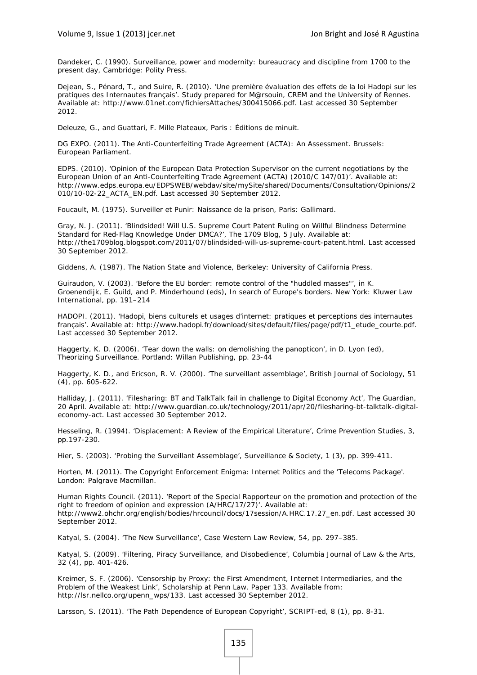Dandeker, C. (1990). *Surveillance, power and modernity: bureaucracy and discipline from 1700 to the present day*, Cambridge: Polity Press.

Dejean, S., Pénard, T., and Suire, R. (2010). 'Une première évaluation des effets de la loi Hadopi sur les pratiques des Internautes français'. Study prepared for M@rsouin, CREM and the University of Rennes. Available at: http://www.01net.com/fichiersAttaches/300415066.pdf. Last accessed 30 September 2012.

Deleuze, G., and Guattari, F. *Mille Plateaux*, Paris : Éditions de minuit.

DG EXPO. (2011). *The Anti-Counterfeiting Trade Agreement (ACTA): An Assessment*. Brussels: European Parliament.

EDPS. (2010). 'Opinion of the European Data Protection Supervisor on the current negotiations by the European Union of an Anti-Counterfeiting Trade Agreement (ACTA) (2010/C 147/01)'. Available at: http://www.edps.europa.eu/EDPSWEB/webdav/site/mySite/shared/Documents/Consultation/Opinions/2 010/10-02-22\_ACTA\_EN.pdf. Last accessed 30 September 2012.

Foucault, M. (1975). *Surveiller et Punir: Naissance de la prison*, Paris: Gallimard.

Gray, N. J. (2011). 'Blindsided! Will U.S. Supreme Court Patent Ruling on Willful Blindness Determine Standard for Red-Flag Knowledge Under DMCA?', *The 1709 Blog*, 5 July. Available at: http://the1709blog.blogspot.com/2011/07/blindsided-will-us-supreme-court-patent.html. Last accessed 30 September 2012.

Giddens, A. (1987). *The Nation State and Violence*, Berkeley: University of California Press.

Guiraudon, V. (2003). 'Before the EU border: remote control of the "huddled masses"', in K. Groenendijk, E. Guild, and P. Minderhound (eds), *In search of Europe's borders*. New York: Kluwer Law International, pp. 191–214

HADOPI. (2011). 'Hadopi, biens culturels et usages d'internet: pratiques et perceptions des internautes français'. Available at: http://www.hadopi.fr/download/sites/default/files/page/pdf/t1\_etude\_courte.pdf. Last accessed 30 September 2012.

Haggerty, K. D. (2006). 'Tear down the walls: on demolishing the panopticon', in D. Lyon (ed), *Theorizing Surveillance*. Portland: Willan Publishing, pp. 23-44

Haggerty, K. D., and Ericson, R. V. (2000). 'The surveillant assemblage', *British Journal of Sociology*, 51 (4), pp. 605-622.

Halliday, J. (2011). 'Filesharing: BT and TalkTalk fail in challenge to Digital Economy Act', *The* Guardian, 20 April. Available at: http://www.guardian.co.uk/technology/2011/apr/20/filesharing-bt-talktalk-digitaleconomy-act. Last accessed 30 September 2012.

Hesseling, R. (1994). 'Displacement: A Review of the Empirical Literature', *Crime Prevention Studies*, 3, pp.197-230.

Hier, S. (2003). 'Probing the Surveillant Assemblage', *Surveillance & Society*, 1 (3), pp. 399-411.

Horten, M. (2011). *The Copyright Enforcement Enigma: Internet Politics and the 'Telecoms Package'*. London: Palgrave Macmillan.

Human Rights Council. (2011). 'Report of the Special Rapporteur on the promotion and protection of the right to freedom of opinion and expression (A/HRC/17/27)'. Available at: http://www2.ohchr.org/english/bodies/hrcouncil/docs/17session/A.HRC.17.27\_en.pdf. Last accessed 30 September 2012.

Katyal, S. (2004). 'The New Surveillance', *Case Western Law Review*, 54, pp. 297–385.

Katyal, S. (2009). 'Filtering, Piracy Surveillance, and Disobedience', *Columbia Journal of Law & the Arts*, 32 (4), pp. 401-426.

Kreimer, S. F. (2006). 'Censorship by Proxy: the First Amendment, Internet Intermediaries, and the Problem of the Weakest Link', *Scholarship at Penn Law*. Paper 133. Available from: http://lsr.nellco.org/upenn\_wps/133. Last accessed 30 September 2012.

Larsson, S. (2011). 'The Path Dependence of European Copyright', *SCRIPT-ed*, 8 (1), pp. 8-31.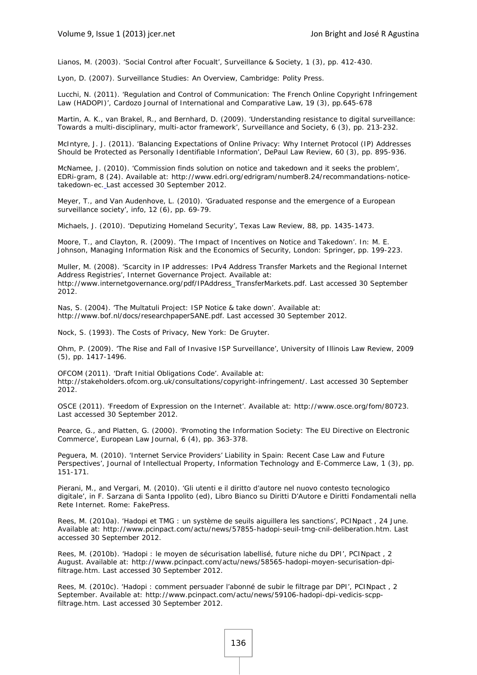Lianos, M. (2003). 'Social Control after Focualt', *Surveillance & Society*, 1 (3), pp. 412-430.

Lyon, D. (2007). *Surveillance Studies: An Overview*, Cambridge: Polity Press.

Lucchi, N. (2011). 'Regulation and Control of Communication: The French Online Copyright Infringement Law (HADOPI)', *Cardozo Journal of International and Comparative Law*, 19 (3), pp.645-678

Martin, A. K., van Brakel, R., and Bernhard, D. (2009). 'Understanding resistance to digital surveillance: Towards a multi-disciplinary, multi-actor framework', *Surveillance and Society*, 6 (3), pp. 213-232.

McIntyre, J. J. (2011). 'Balancing Expectations of Online Privacy: Why Internet Protocol (IP) Addresses Should be Protected as Personally Identifiable Information', *DePaul Law Review*, 60 (3), pp. 895-936.

McNamee, J. (2010). 'Commission finds solution on notice and takedown and it seeks the problem', *EDRi-gram*, 8 (24). Available at: http://www.edri.org/edrigram/number8.24/recommandations-noticetakedown-ec. Last accessed 30 September 2012.

Meyer, T., and Van Audenhove, L. (2010). 'Graduated response and the emergence of a European surveillance society', *info*, 12 (6), pp. 69-79.

Michaels, J. (2010). 'Deputizing Homeland Security', *Texas Law Review*, 88, pp. 1435-1473.

Moore, T., and Clayton, R. (2009). 'The Impact of Incentives on Notice and Takedown'. In: M. E. Johnson, *Managing Information Risk and the Economics of Security*, London: Springer, pp. 199-223.

Muller, M. (2008). 'Scarcity in IP addresses: IPv4 Address Transfer Markets and the Regional Internet Address Registries', *Internet Governance Project*. Available at: http://www.internetgovernance.org/pdf/IPAddress\_TransferMarkets.pdf. Last accessed 30 September 2012.

Nas, S. (2004). 'The Multatuli Project: ISP Notice & take down'. Available at: http://www.bof.nl/docs/researchpaperSANE.pdf. Last accessed 30 September 2012.

Nock, S. (1993). *The Costs of Privacy*, New York: De Gruyter.

Ohm, P. (2009). 'The Rise and Fall of Invasive ISP Surveillance', *University of Illinois Law Review*, 2009 (5), pp. 1417-1496.

OFCOM (2011). 'Draft Initial Obligations Code'. Available at: http://stakeholders.ofcom.org.uk/consultations/copyright-infringement/. Last accessed 30 September 2012.

OSCE (2011). 'Freedom of Expression on the Internet'. Available at: http://www.osce.org/fom/80723. Last accessed 30 September 2012.

Pearce, G., and Platten, G. (2000). 'Promoting the Information Society: The EU Directive on Electronic Commerce', *European Law Journal*, 6 (4), pp. 363-378.

Peguera, M. (2010). 'Internet Service Providers' Liability in Spain: Recent Case Law and Future Perspectives', *Journal of Intellectual Property, Information Technology and E-Commerce Law*, 1 (3), pp. 151-171.

Pierani, M., and Vergari, M. (2010). 'Gli utenti e il diritto d'autore nel nuovo contesto tecnologico digitale', in F. Sarzana di Santa Ippolito (ed), *Libro Bianco su Diritti D'Autore e Diritti Fondamentali nella Rete Internet*. Rome: FakePress.

Rees, M. (2010a). 'Hadopi et TMG : un système de seuils aiguillera les sanctions', *PCINpact* , 24 June. Available at: http://www.pcinpact.com/actu/news/57855-hadopi-seuil-tmg-cnil-deliberation.htm. Last accessed 30 September 2012.

Rees, M. (2010b). 'Hadopi : le moyen de sécurisation labellisé, future niche du DPI', *PCINpact* , 2 August. Available at: http://www.pcinpact.com/actu/news/58565-hadopi-moyen-securisation-dpifiltrage.htm. Last accessed 30 September 2012.

Rees, M. (2010c). 'Hadopi : comment persuader l'abonné de subir le filtrage par DPI', *PCINpact* , 2 September. Available at: http://www.pcinpact.com/actu/news/59106-hadopi-dpi-vedicis-scppfiltrage.htm. Last accessed 30 September 2012.